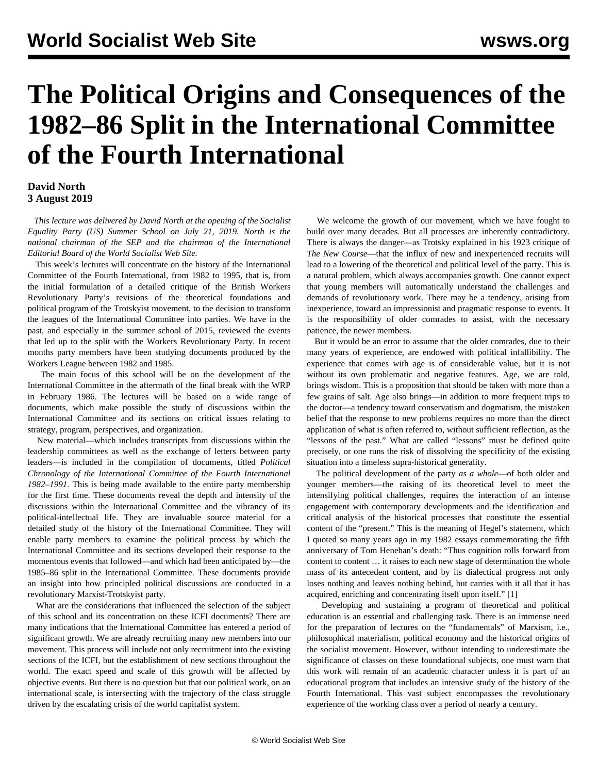## **The Political Origins and Consequences of the 1982–86 Split in the International Committee of the Fourth International**

## **David North 3 August 2019**

 *This lecture was delivered by David North at the opening of the Socialist Equality Party (US) Summer School on July 21, 2019. North is the national chairman of the SEP and the chairman of the International Editorial Board of the World Socialist Web Site.*

 This week's lectures will concentrate on the history of the International Committee of the Fourth International, from 1982 to 1995, that is, from the initial formulation of a detailed critique of the British Workers Revolutionary Party's revisions of the theoretical foundations and political program of the Trotskyist movement, to the decision to transform the leagues of the International Committee into parties. We have in the past, and especially in the summer school of 2015, reviewed the events that led up to the split with the Workers Revolutionary Party. In recent months party members have been studying documents produced by the Workers League between 1982 and 1985.

 The main focus of this school will be on the development of the International Committee in the aftermath of the final break with the WRP in February 1986. The lectures will be based on a wide range of documents, which make possible the study of discussions within the International Committee and its sections on critical issues relating to strategy, program, perspectives, and organization.

 New material—which includes transcripts from discussions within the leadership committees as well as the exchange of letters between party leaders—is included in the compilation of documents, titled *Political Chronology of the International Committee of the Fourth International 1982–1991*. This is being made available to the entire party membership for the first time. These documents reveal the depth and intensity of the discussions within the International Committee and the vibrancy of its political-intellectual life. They are invaluable source material for a detailed study of the history of the International Committee. They will enable party members to examine the political process by which the International Committee and its sections developed their response to the momentous events that followed—and which had been anticipated by—the 1985–86 split in the International Committee. These documents provide an insight into how principled political discussions are conducted in a revolutionary Marxist-Trotskyist party.

 What are the considerations that influenced the selection of the subject of this school and its concentration on these ICFI documents? There are many indications that the International Committee has entered a period of significant growth. We are already recruiting many new members into our movement. This process will include not only recruitment into the existing sections of the ICFI, but the establishment of new sections throughout the world. The exact speed and scale of this growth will be affected by objective events. But there is no question but that our political work, on an international scale, is intersecting with the trajectory of the class struggle driven by the escalating crisis of the world capitalist system.

 We welcome the growth of our movement, which we have fought to build over many decades. But all processes are inherently contradictory. There is always the danger—as Trotsky explained in his 1923 critique of *The New Course*—that the influx of new and inexperienced recruits will lead to a lowering of the theoretical and political level of the party. This is a natural problem, which always accompanies growth. One cannot expect that young members will automatically understand the challenges and demands of revolutionary work. There may be a tendency, arising from inexperience, toward an impressionist and pragmatic response to events. It is the responsibility of older comrades to assist, with the necessary patience, the newer members.

 But it would be an error to assume that the older comrades, due to their many years of experience, are endowed with political infallibility. The experience that comes with age is of considerable value, but it is not without its own problematic and negative features. Age, we are told, brings wisdom. This is a proposition that should be taken with more than a few grains of salt. Age also brings—in addition to more frequent trips to the doctor—a tendency toward conservatism and dogmatism, the mistaken belief that the response to new problems requires no more than the direct application of what is often referred to, without sufficient reflection, as the "lessons of the past." What are called "lessons" must be defined quite precisely, or one runs the risk of dissolving the specificity of the existing situation into a timeless supra-historical generality.

 The political development of the party *as a whole*—of both older and younger members—the raising of its theoretical level to meet the intensifying political challenges, requires the interaction of an intense engagement with contemporary developments and the identification and critical analysis of the historical processes that constitute the essential content of the "present." This is the meaning of Hegel's statement, which I quoted so many years ago in my 1982 essays commemorating the fifth anniversary of Tom Henehan's death: "Thus cognition rolls forward from content to content … it raises to each new stage of determination the whole mass of its antecedent content, and by its dialectical progress not only loses nothing and leaves nothing behind, but carries with it all that it has acquired, enriching and concentrating itself upon itself." [1]

 Developing and sustaining a program of theoretical and political education is an essential and challenging task. There is an immense need for the preparation of lectures on the "fundamentals" of Marxism, i.e., philosophical materialism, political economy and the historical origins of the socialist movement. However, without intending to underestimate the significance of classes on these foundational subjects, one must warn that this work will remain of an academic character unless it is part of an educational program that includes an intensive study of the history of the Fourth International. This vast subject encompasses the revolutionary experience of the working class over a period of nearly a century.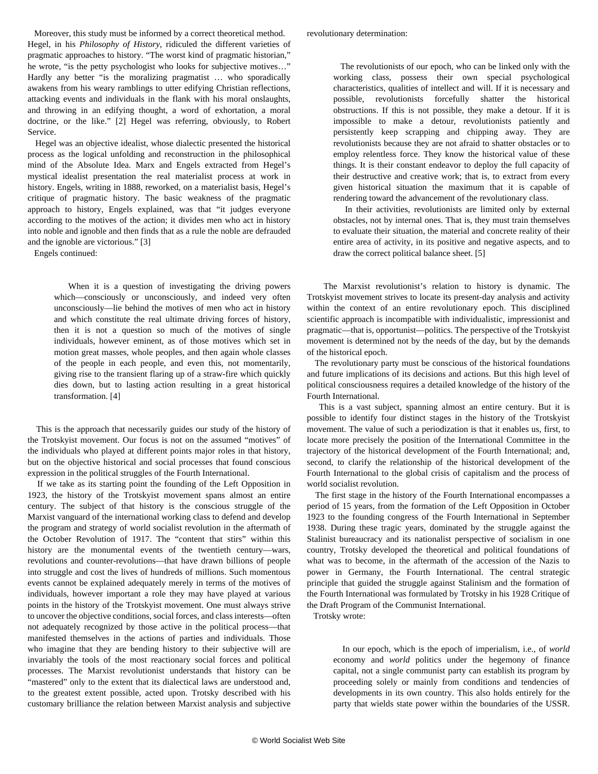Moreover, this study must be informed by a correct theoretical method. Hegel, in his *Philosophy of History*, ridiculed the different varieties of pragmatic approaches to history. "The worst kind of pragmatic historian," he wrote, "is the petty psychologist who looks for subjective motives…" Hardly any better "is the moralizing pragmatist … who sporadically awakens from his weary ramblings to utter edifying Christian reflections, attacking events and individuals in the flank with his moral onslaughts, and throwing in an edifying thought, a word of exhortation, a moral doctrine, or the like." [2] Hegel was referring, obviously, to Robert Service.

 Hegel was an objective idealist, whose dialectic presented the historical process as the logical unfolding and reconstruction in the philosophical mind of the Absolute Idea. Marx and Engels extracted from Hegel's mystical idealist presentation the real materialist process at work in history. Engels, writing in 1888, reworked, on a materialist basis, Hegel's critique of pragmatic history. The basic weakness of the pragmatic approach to history, Engels explained, was that "it judges everyone according to the motives of the action; it divides men who act in history into noble and ignoble and then finds that as a rule the noble are defrauded and the ignoble are victorious." [3]

Engels continued:

 When it is a question of investigating the driving powers which—consciously or unconsciously, and indeed very often unconsciously—lie behind the motives of men who act in history and which constitute the real ultimate driving forces of history, then it is not a question so much of the motives of single individuals, however eminent, as of those motives which set in motion great masses, whole peoples, and then again whole classes of the people in each people, and even this, not momentarily, giving rise to the transient flaring up of a straw-fire which quickly dies down, but to lasting action resulting in a great historical transformation. [4]

 This is the approach that necessarily guides our study of the history of the Trotskyist movement. Our focus is not on the assumed "motives" of the individuals who played at different points major roles in that history, but on the objective historical and social processes that found conscious expression in the political struggles of the Fourth International.

 If we take as its starting point the founding of the Left Opposition in 1923, the history of the Trotskyist movement spans almost an entire century. The subject of that history is the conscious struggle of the Marxist vanguard of the international working class to defend and develop the program and strategy of world socialist revolution in the aftermath of the October Revolution of 1917. The "content that stirs" within this history are the monumental events of the twentieth century—wars, revolutions and counter-revolutions—that have drawn billions of people into struggle and cost the lives of hundreds of millions. Such momentous events cannot be explained adequately merely in terms of the motives of individuals, however important a role they may have played at various points in the history of the Trotskyist movement. One must always strive to uncover the objective conditions, social forces, and class interests—often not adequately recognized by those active in the political process—that manifested themselves in the actions of parties and individuals. Those who imagine that they are bending history to their subjective will are invariably the tools of the most reactionary social forces and political processes. The Marxist revolutionist understands that history can be "mastered" only to the extent that its dialectical laws are understood and, to the greatest extent possible, acted upon. Trotsky described with his customary brilliance the relation between Marxist analysis and subjective

 The revolutionists of our epoch, who can be linked only with the working class, possess their own special psychological characteristics, qualities of intellect and will. If it is necessary and possible, revolutionists forcefully shatter the historical obstructions. If this is not possible, they make a detour. If it is impossible to make a detour, revolutionists patiently and persistently keep scrapping and chipping away. They are revolutionists because they are not afraid to shatter obstacles or to employ relentless force. They know the historical value of these things. It is their constant endeavor to deploy the full capacity of their destructive and creative work; that is, to extract from every given historical situation the maximum that it is capable of rendering toward the advancement of the revolutionary class.

 In their activities, revolutionists are limited only by external obstacles, not by internal ones. That is, they must train themselves to evaluate their situation, the material and concrete reality of their entire area of activity, in its positive and negative aspects, and to draw the correct political balance sheet. [5]

 The Marxist revolutionist's relation to history is dynamic. The Trotskyist movement strives to locate its present-day analysis and activity within the context of an entire revolutionary epoch. This disciplined scientific approach is incompatible with individualistic, impressionist and pragmatic—that is, opportunist—politics. The perspective of the Trotskyist movement is determined not by the needs of the day, but by the demands of the historical epoch.

 The revolutionary party must be conscious of the historical foundations and future implications of its decisions and actions. But this high level of political consciousness requires a detailed knowledge of the history of the Fourth International.

 This is a vast subject, spanning almost an entire century. But it is possible to identify four distinct stages in the history of the Trotskyist movement. The value of such a periodization is that it enables us, first, to locate more precisely the position of the International Committee in the trajectory of the historical development of the Fourth International; and, second, to clarify the relationship of the historical development of the Fourth International to the global crisis of capitalism and the process of world socialist revolution.

 The first stage in the history of the Fourth International encompasses a period of 15 years, from the formation of the Left Opposition in October 1923 to the founding congress of the Fourth International in September 1938. During these tragic years, dominated by the struggle against the Stalinist bureaucracy and its nationalist perspective of socialism in one country, Trotsky developed the theoretical and political foundations of what was to become, in the aftermath of the accession of the Nazis to power in Germany, the Fourth International. The central strategic principle that guided the struggle against Stalinism and the formation of the Fourth International was formulated by Trotsky in his 1928 Critique of the Draft Program of the Communist International.

Trotsky wrote:

 In our epoch, which is the epoch of imperialism, i.e., of *world* economy and *world* politics under the hegemony of finance capital, not a single communist party can establish its program by proceeding solely or mainly from conditions and tendencies of developments in its own country. This also holds entirely for the party that wields state power within the boundaries of the USSR.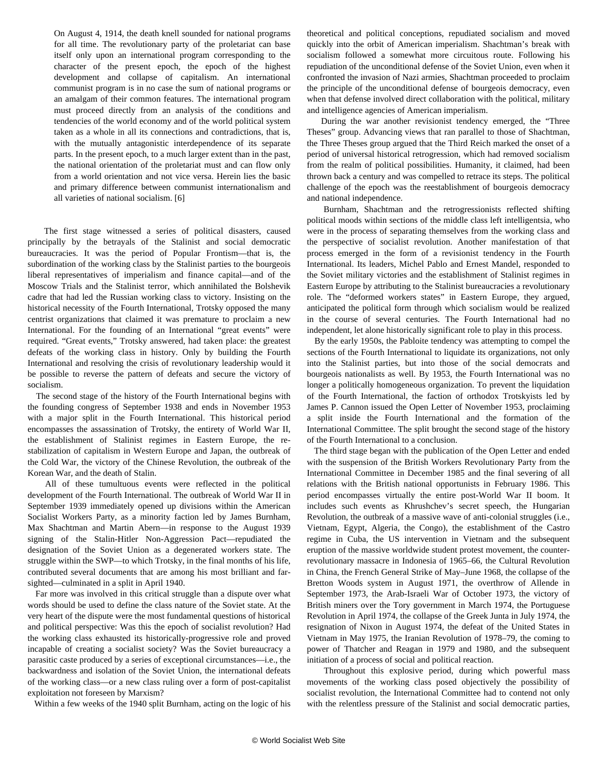On August 4, 1914, the death knell sounded for national programs for all time. The revolutionary party of the proletariat can base itself only upon an international program corresponding to the character of the present epoch, the epoch of the highest development and collapse of capitalism. An international communist program is in no case the sum of national programs or an amalgam of their common features. The international program must proceed directly from an analysis of the conditions and tendencies of the world economy and of the world political system taken as a whole in all its connections and contradictions, that is, with the mutually antagonistic interdependence of its separate parts. In the present epoch, to a much larger extent than in the past, the national orientation of the proletariat must and can flow only from a world orientation and not vice versa. Herein lies the basic and primary difference between communist internationalism and all varieties of national socialism. [6]

 The first stage witnessed a series of political disasters, caused principally by the betrayals of the Stalinist and social democratic bureaucracies. It was the period of Popular Frontism—that is, the subordination of the working class by the Stalinist parties to the bourgeois liberal representatives of imperialism and finance capital—and of the Moscow Trials and the Stalinist terror, which annihilated the Bolshevik cadre that had led the Russian working class to victory. Insisting on the historical necessity of the Fourth International, Trotsky opposed the many centrist organizations that claimed it was premature to proclaim a new International. For the founding of an International "great events" were required. "Great events," Trotsky answered, had taken place: the greatest defeats of the working class in history. Only by building the Fourth International and resolving the crisis of revolutionary leadership would it be possible to reverse the pattern of defeats and secure the victory of socialism.

 The second stage of the history of the Fourth International begins with the founding congress of September 1938 and ends in November 1953 with a major split in the Fourth International. This historical period encompasses the assassination of Trotsky, the entirety of World War II, the establishment of Stalinist regimes in Eastern Europe, the restabilization of capitalism in Western Europe and Japan, the outbreak of the Cold War, the victory of the Chinese Revolution, the outbreak of the Korean War, and the death of Stalin.

 All of these tumultuous events were reflected in the political development of the Fourth International. The outbreak of World War II in September 1939 immediately opened up divisions within the American Socialist Workers Party, as a minority faction led by James Burnham, Max Shachtman and Martin Abern—in response to the August 1939 signing of the Stalin-Hitler Non-Aggression Pact—repudiated the designation of the Soviet Union as a degenerated workers state. The struggle within the SWP—to which Trotsky, in the final months of his life, contributed several documents that are among his most brilliant and farsighted—culminated in a split in April 1940.

 Far more was involved in this critical struggle than a dispute over what words should be used to define the class nature of the Soviet state. At the very heart of the dispute were the most fundamental questions of historical and political perspective: Was this the epoch of socialist revolution? Had the working class exhausted its historically-progressive role and proved incapable of creating a socialist society? Was the Soviet bureaucracy a parasitic caste produced by a series of exceptional circumstances—i.e., the backwardness and isolation of the Soviet Union, the international defeats of the working class—or a new class ruling over a form of post-capitalist exploitation not foreseen by Marxism?

Within a few weeks of the 1940 split Burnham, acting on the logic of his

theoretical and political conceptions, repudiated socialism and moved quickly into the orbit of American imperialism. Shachtman's break with socialism followed a somewhat more circuitous route. Following his repudiation of the unconditional defense of the Soviet Union, even when it confronted the invasion of Nazi armies, Shachtman proceeded to proclaim the principle of the unconditional defense of bourgeois democracy, even when that defense involved direct collaboration with the political, military and intelligence agencies of American imperialism.

 During the war another revisionist tendency emerged, the "Three Theses" group. Advancing views that ran parallel to those of Shachtman, the Three Theses group argued that the Third Reich marked the onset of a period of universal historical retrogression, which had removed socialism from the realm of political possibilities. Humanity, it claimed, had been thrown back a century and was compelled to retrace its steps. The political challenge of the epoch was the reestablishment of bourgeois democracy and national independence.

 Burnham, Shachtman and the retrogressionists reflected shifting political moods within sections of the middle class left intelligentsia, who were in the process of separating themselves from the working class and the perspective of socialist revolution. Another manifestation of that process emerged in the form of a revisionist tendency in the Fourth International. Its leaders, Michel Pablo and Ernest Mandel, responded to the Soviet military victories and the establishment of Stalinist regimes in Eastern Europe by attributing to the Stalinist bureaucracies a revolutionary role. The "deformed workers states" in Eastern Europe, they argued, anticipated the political form through which socialism would be realized in the course of several centuries. The Fourth International had no independent, let alone historically significant role to play in this process.

 By the early 1950s, the Pabloite tendency was attempting to compel the sections of the Fourth International to liquidate its organizations, not only into the Stalinist parties, but into those of the social democrats and bourgeois nationalists as well. By 1953, the Fourth International was no longer a politically homogeneous organization. To prevent the liquidation of the Fourth International, the faction of orthodox Trotskyists led by James P. Cannon issued the Open Letter of November 1953, proclaiming a split inside the Fourth International and the formation of the International Committee. The split brought the second stage of the history of the Fourth International to a conclusion.

 The third stage began with the publication of the Open Letter and ended with the suspension of the British Workers Revolutionary Party from the International Committee in December 1985 and the final severing of all relations with the British national opportunists in February 1986. This period encompasses virtually the entire post-World War II boom. It includes such events as Khrushchev's secret speech, the Hungarian Revolution, the outbreak of a massive wave of anti-colonial struggles (i.e., Vietnam, Egypt, Algeria, the Congo), the establishment of the Castro regime in Cuba, the US intervention in Vietnam and the subsequent eruption of the massive worldwide student protest movement, the counterrevolutionary massacre in Indonesia of 1965–66, the Cultural Revolution in China, the French General Strike of May–June 1968, the collapse of the Bretton Woods system in August 1971, the overthrow of Allende in September 1973, the Arab-Israeli War of October 1973, the victory of British miners over the Tory government in March 1974, the Portuguese Revolution in April 1974, the collapse of the Greek Junta in July 1974, the resignation of Nixon in August 1974, the defeat of the United States in Vietnam in May 1975, the Iranian Revolution of 1978–79, the coming to power of Thatcher and Reagan in 1979 and 1980, and the subsequent initiation of a process of social and political reaction.

 Throughout this explosive period, during which powerful mass movements of the working class posed objectively the possibility of socialist revolution, the International Committee had to contend not only with the relentless pressure of the Stalinist and social democratic parties,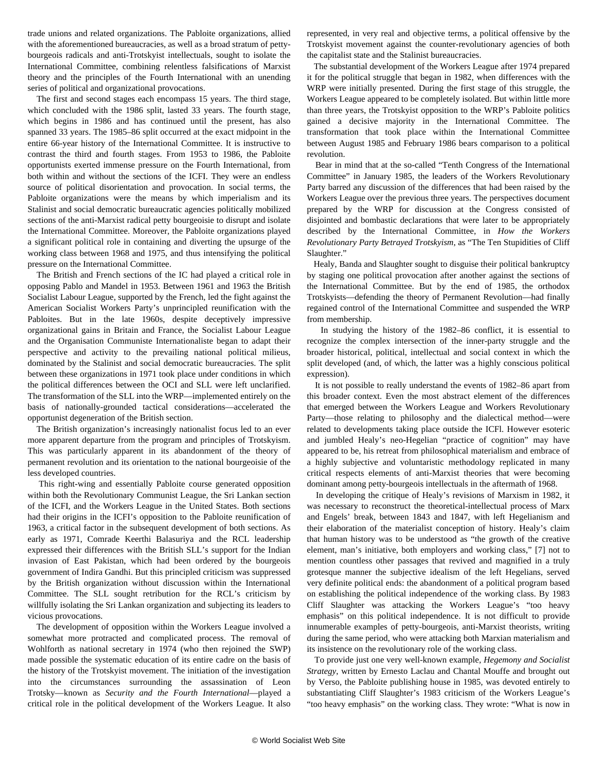trade unions and related organizations. The Pabloite organizations, allied with the aforementioned bureaucracies, as well as a broad stratum of pettybourgeois radicals and anti-Trotskyist intellectuals, sought to isolate the International Committee, combining relentless falsifications of Marxist theory and the principles of the Fourth International with an unending series of political and organizational provocations.

 The first and second stages each encompass 15 years. The third stage, which concluded with the 1986 split, lasted 33 years. The fourth stage, which begins in 1986 and has continued until the present, has also spanned 33 years. The 1985–86 split occurred at the exact midpoint in the entire 66-year history of the International Committee. It is instructive to contrast the third and fourth stages. From 1953 to 1986, the Pabloite opportunists exerted immense pressure on the Fourth International, from both within and without the sections of the ICFI. They were an endless source of political disorientation and provocation. In social terms, the Pabloite organizations were the means by which imperialism and its Stalinist and social democratic bureaucratic agencies politically mobilized sections of the anti-Marxist radical petty bourgeoisie to disrupt and isolate the International Committee. Moreover, the Pabloite organizations played a significant political role in containing and diverting the upsurge of the working class between 1968 and 1975, and thus intensifying the political pressure on the International Committee.

 The British and French sections of the IC had played a critical role in opposing Pablo and Mandel in 1953. Between 1961 and 1963 the British Socialist Labour League, supported by the French, led the fight against the American Socialist Workers Party's unprincipled reunification with the Pabloites. But in the late 1960s, despite deceptively impressive organizational gains in Britain and France, the Socialist Labour League and the Organisation Communiste Internationaliste began to adapt their perspective and activity to the prevailing national political milieus, dominated by the Stalinist and social democratic bureaucracies. The split between these organizations in 1971 took place under conditions in which the political differences between the OCI and SLL were left unclarified. The transformation of the SLL into the WRP—implemented entirely on the basis of nationally-grounded tactical considerations—accelerated the opportunist degeneration of the British section.

 The British organization's increasingly nationalist focus led to an ever more apparent departure from the program and principles of Trotskyism. This was particularly apparent in its abandonment of the theory of permanent revolution and its orientation to the national bourgeoisie of the less developed countries.

 This right-wing and essentially Pabloite course generated opposition within both the Revolutionary Communist League, the Sri Lankan section of the ICFI, and the Workers League in the United States. Both sections had their origins in the ICFI's opposition to the Pabloite reunification of 1963, a critical factor in the subsequent development of both sections. As early as 1971, Comrade Keerthi Balasuriya and the RCL leadership expressed their differences with the British SLL's support for the Indian invasion of East Pakistan, which had been ordered by the bourgeois government of Indira Gandhi. But this principled criticism was suppressed by the British organization without discussion within the International Committee. The SLL sought retribution for the RCL's criticism by willfully isolating the Sri Lankan organization and subjecting its leaders to vicious provocations.

 The development of opposition within the Workers League involved a somewhat more protracted and complicated process. The removal of Wohlforth as national secretary in 1974 (who then rejoined the SWP) made possible the systematic education of its entire cadre on the basis of the history of the Trotskyist movement. The initiation of the investigation into the circumstances surrounding the assassination of Leon Trotsky—known as *Security and the Fourth International*—played a critical role in the political development of the Workers League. It also

represented, in very real and objective terms, a political offensive by the Trotskyist movement against the counter-revolutionary agencies of both the capitalist state and the Stalinist bureaucracies.

 The substantial development of the Workers League after 1974 prepared it for the political struggle that began in 1982, when differences with the WRP were initially presented. During the first stage of this struggle, the Workers League appeared to be completely isolated. But within little more than three years, the Trotskyist opposition to the WRP's Pabloite politics gained a decisive majority in the International Committee. The transformation that took place within the International Committee between August 1985 and February 1986 bears comparison to a political revolution.

 Bear in mind that at the so-called "Tenth Congress of the International Committee" in January 1985, the leaders of the Workers Revolutionary Party barred any discussion of the differences that had been raised by the Workers League over the previous three years. The perspectives document prepared by the WRP for discussion at the Congress consisted of disjointed and bombastic declarations that were later to be appropriately described by the International Committee, in *How the Workers Revolutionary Party Betrayed Trotskyism*, as "The Ten Stupidities of Cliff Slaughter."

 Healy, Banda and Slaughter sought to disguise their political bankruptcy by staging one political provocation after another against the sections of the International Committee. But by the end of 1985, the orthodox Trotskyists—defending the theory of Permanent Revolution—had finally regained control of the International Committee and suspended the WRP from membership.

 In studying the history of the 1982–86 conflict, it is essential to recognize the complex intersection of the inner-party struggle and the broader historical, political, intellectual and social context in which the split developed (and, of which, the latter was a highly conscious political expression).

 It is not possible to really understand the events of 1982–86 apart from this broader context. Even the most abstract element of the differences that emerged between the Workers League and Workers Revolutionary Party—those relating to philosophy and the dialectical method—were related to developments taking place outside the ICFl. However esoteric and jumbled Healy's neo-Hegelian "practice of cognition" may have appeared to be, his retreat from philosophical materialism and embrace of a highly subjective and voluntaristic methodology replicated in many critical respects elements of anti-Marxist theories that were becoming dominant among petty-bourgeois intellectuals in the aftermath of 1968.

 In developing the critique of Healy's revisions of Marxism in 1982, it was necessary to reconstruct the theoretical-intellectual process of Marx and Engels' break, between 1843 and 1847, with left Hegelianism and their elaboration of the materialist conception of history. Healy's claim that human history was to be understood as "the growth of the creative element, man's initiative, both employers and working class," [7] not to mention countless other passages that revived and magnified in a truly grotesque manner the subjective idealism of the left Hegelians, served very definite political ends: the abandonment of a political program based on establishing the political independence of the working class. By 1983 Cliff Slaughter was attacking the Workers League's "too heavy emphasis" on this political independence. It is not difficult to provide innumerable examples of petty-bourgeois, anti-Marxist theorists, writing during the same period, who were attacking both Marxian materialism and its insistence on the revolutionary role of the working class.

 To provide just one very well-known example, *Hegemony and Socialist Strategy*, written by Ernesto Laclau and Chantal Mouffe and brought out by Verso, the Pabloite publishing house in 1985, was devoted entirely to substantiating Cliff Slaughter's 1983 criticism of the Workers League's "too heavy emphasis" on the working class. They wrote: "What is now in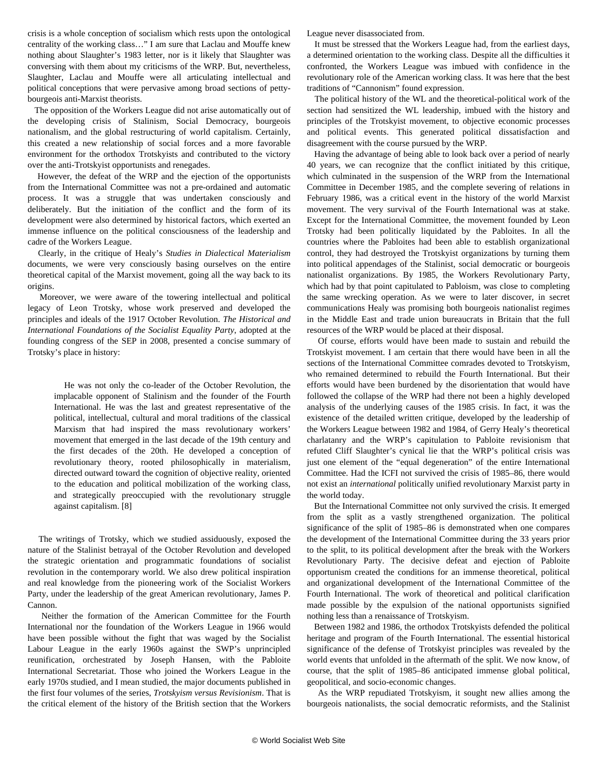crisis is a whole conception of socialism which rests upon the ontological centrality of the working class…" I am sure that Laclau and Mouffe knew nothing about Slaughter's 1983 letter, nor is it likely that Slaughter was conversing with them about my criticisms of the WRP. But, nevertheless, Slaughter, Laclau and Mouffe were all articulating intellectual and political conceptions that were pervasive among broad sections of pettybourgeois anti-Marxist theorists.

 The opposition of the Workers League did not arise automatically out of the developing crisis of Stalinism, Social Democracy, bourgeois nationalism, and the global restructuring of world capitalism. Certainly, this created a new relationship of social forces and a more favorable environment for the orthodox Trotskyists and contributed to the victory over the anti-Trotskyist opportunists and renegades.

 However, the defeat of the WRP and the ejection of the opportunists from the International Committee was not a pre-ordained and automatic process. It was a struggle that was undertaken consciously and deliberately. But the initiation of the conflict and the form of its development were also determined by historical factors, which exerted an immense influence on the political consciousness of the leadership and cadre of the Workers League.

 Clearly, in the critique of Healy's *Studies in Dialectical Materialism* documents, we were very consciously basing ourselves on the entire theoretical capital of the Marxist movement, going all the way back to its origins.

 Moreover, we were aware of the towering intellectual and political legacy of Leon Trotsky, whose work preserved and developed the principles and ideals of the 1917 October Revolution. *The Historical and International Foundations of the Socialist Equality Party*, adopted at the founding congress of the SEP in 2008, presented a concise summary of Trotsky's place in history:

 He was not only the co-leader of the October Revolution, the implacable opponent of Stalinism and the founder of the Fourth International. He was the last and greatest representative of the political, intellectual, cultural and moral traditions of the classical Marxism that had inspired the mass revolutionary workers' movement that emerged in the last decade of the 19th century and the first decades of the 20th. He developed a conception of revolutionary theory, rooted philosophically in materialism, directed outward toward the cognition of objective reality, oriented to the education and political mobilization of the working class, and strategically preoccupied with the revolutionary struggle against capitalism. [8]

 The writings of Trotsky, which we studied assiduously, exposed the nature of the Stalinist betrayal of the October Revolution and developed the strategic orientation and programmatic foundations of socialist revolution in the contemporary world. We also drew political inspiration and real knowledge from the pioneering work of the Socialist Workers Party, under the leadership of the great American revolutionary, James P. Cannon.

 Neither the formation of the American Committee for the Fourth International nor the foundation of the Workers League in 1966 would have been possible without the fight that was waged by the Socialist Labour League in the early 1960s against the SWP's unprincipled reunification, orchestrated by Joseph Hansen, with the Pabloite International Secretariat. Those who joined the Workers League in the early 1970s studied, and I mean studied, the major documents published in the first four volumes of the series, *Trotskyism versus Revisionism*. That is the critical element of the history of the British section that the Workers

League never disassociated from.

 It must be stressed that the Workers League had, from the earliest days, a determined orientation to the working class. Despite all the difficulties it confronted, the Workers League was imbued with confidence in the revolutionary role of the American working class. It was here that the best traditions of "Cannonism" found expression.

 The political history of the WL and the theoretical-political work of the section had sensitized the WL leadership, imbued with the history and principles of the Trotskyist movement, to objective economic processes and political events. This generated political dissatisfaction and disagreement with the course pursued by the WRP.

 Having the advantage of being able to look back over a period of nearly 40 years, we can recognize that the conflict initiated by this critique, which culminated in the suspension of the WRP from the International Committee in December 1985, and the complete severing of relations in February 1986, was a critical event in the history of the world Marxist movement. The very survival of the Fourth International was at stake. Except for the International Committee, the movement founded by Leon Trotsky had been politically liquidated by the Pabloites. In all the countries where the Pabloites had been able to establish organizational control, they had destroyed the Trotskyist organizations by turning them into political appendages of the Stalinist, social democratic or bourgeois nationalist organizations. By 1985, the Workers Revolutionary Party, which had by that point capitulated to Pabloism, was close to completing the same wrecking operation. As we were to later discover, in secret communications Healy was promising both bourgeois nationalist regimes in the Middle East and trade union bureaucrats in Britain that the full resources of the WRP would be placed at their disposal.

 Of course, efforts would have been made to sustain and rebuild the Trotskyist movement. I am certain that there would have been in all the sections of the International Committee comrades devoted to Trotskyism, who remained determined to rebuild the Fourth International. But their efforts would have been burdened by the disorientation that would have followed the collapse of the WRP had there not been a highly developed analysis of the underlying causes of the 1985 crisis. In fact, it was the existence of the detailed written critique, developed by the leadership of the Workers League between 1982 and 1984, of Gerry Healy's theoretical charlatanry and the WRP's capitulation to Pabloite revisionism that refuted Cliff Slaughter's cynical lie that the WRP's political crisis was just one element of the "equal degeneration" of the entire International Committee. Had the ICFI not survived the crisis of 1985–86, there would not exist an *international* politically unified revolutionary Marxist party in the world today.

 But the International Committee not only survived the crisis. It emerged from the split as a vastly strengthened organization. The political significance of the split of 1985–86 is demonstrated when one compares the development of the International Committee during the 33 years prior to the split, to its political development after the break with the Workers Revolutionary Party. The decisive defeat and ejection of Pabloite opportunism created the conditions for an immense theoretical, political and organizational development of the International Committee of the Fourth International. The work of theoretical and political clarification made possible by the expulsion of the national opportunists signified nothing less than a renaissance of Trotskyism.

 Between 1982 and 1986, the orthodox Trotskyists defended the political heritage and program of the Fourth International. The essential historical significance of the defense of Trotskyist principles was revealed by the world events that unfolded in the aftermath of the split. We now know, of course, that the split of 1985–86 anticipated immense global political, geopolitical, and socio-economic changes.

 As the WRP repudiated Trotskyism, it sought new allies among the bourgeois nationalists, the social democratic reformists, and the Stalinist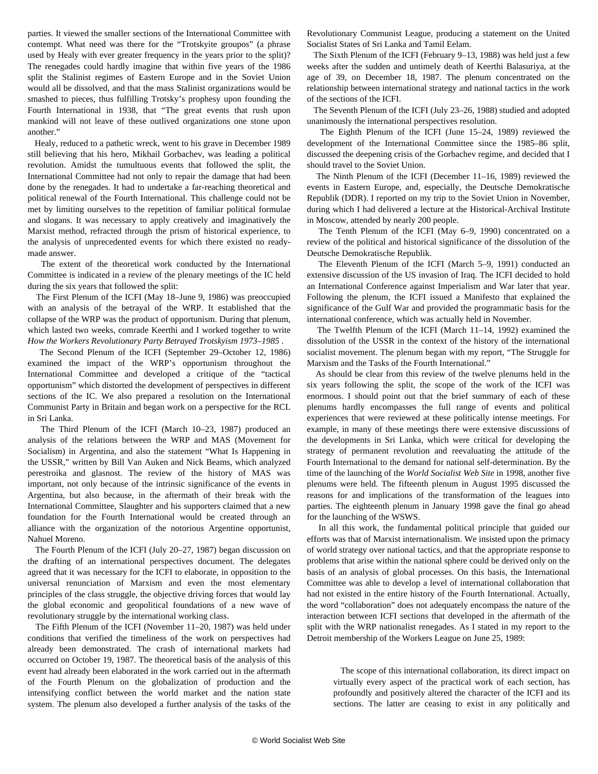parties. It viewed the smaller sections of the International Committee with contempt. What need was there for the "Trotskyite groupos" (a phrase used by Healy with ever greater frequency in the years prior to the split)? The renegades could hardly imagine that within five years of the 1986 split the Stalinist regimes of Eastern Europe and in the Soviet Union would all be dissolved, and that the mass Stalinist organizations would be smashed to pieces, thus fulfilling Trotsky's prophesy upon founding the Fourth International in 1938, that "The great events that rush upon mankind will not leave of these outlived organizations one stone upon another."

 Healy, reduced to a pathetic wreck, went to his grave in December 1989 still believing that his hero, Mikhail Gorbachev, was leading a political revolution. Amidst the tumultuous events that followed the split, the International Committee had not only to repair the damage that had been done by the renegades. It had to undertake a far-reaching theoretical and political renewal of the Fourth International. This challenge could not be met by limiting ourselves to the repetition of familiar political formulae and slogans. It was necessary to apply creatively and imaginatively the Marxist method, refracted through the prism of historical experience, to the analysis of unprecedented events for which there existed no readymade answer.

 The extent of the theoretical work conducted by the International Committee is indicated in a review of the plenary meetings of the IC held during the six years that followed the split:

 The First Plenum of the ICFI (May 18–June 9, 1986) was preoccupied with an analysis of the betrayal of the WRP. It established that the collapse of the WRP was the product of opportunism. During that plenum, which lasted two weeks, comrade Keerthi and I worked together to write *How the Workers Revolutionary Party Betrayed Trotskyism 1973–1985* .

 The Second Plenum of the ICFI (September 29–October 12, 1986) examined the impact of the WRP's opportunism throughout the International Committee and developed a critique of the "tactical opportunism" which distorted the development of perspectives in different sections of the IC. We also prepared a resolution on the International Communist Party in Britain and began work on a perspective for the RCL in Sri Lanka.

 The Third Plenum of the ICFI (March 10–23, 1987) produced an analysis of the relations between the WRP and MAS (Movement for Socialism) in Argentina, and also the statement "What Is Happening in the USSR," written by Bill Van Auken and Nick Beams, which analyzed perestroika and glasnost. The review of the history of MAS was important, not only because of the intrinsic significance of the events in Argentina, but also because, in the aftermath of their break with the International Committee, Slaughter and his supporters claimed that a new foundation for the Fourth International would be created through an alliance with the organization of the notorious Argentine opportunist, Nahuel Moreno.

 The Fourth Plenum of the ICFI (July 20–27, 1987) began discussion on the drafting of an international perspectives document. The delegates agreed that it was necessary for the ICFI to elaborate, in opposition to the universal renunciation of Marxism and even the most elementary principles of the class struggle, the objective driving forces that would lay the global economic and geopolitical foundations of a new wave of revolutionary struggle by the international working class.

 The Fifth Plenum of the ICFI (November 11–20, 1987) was held under conditions that verified the timeliness of the work on perspectives had already been demonstrated. The crash of international markets had occurred on October 19, 1987. The theoretical basis of the analysis of this event had already been elaborated in the work carried out in the aftermath of the Fourth Plenum on the globalization of production and the intensifying conflict between the world market and the nation state system. The plenum also developed a further analysis of the tasks of the Revolutionary Communist League, producing a statement on the United Socialist States of Sri Lanka and Tamil Eelam.

 The Sixth Plenum of the ICFI (February 9–13, 1988) was held just a few weeks after the sudden and untimely death of Keerthi Balasuriya, at the age of 39, on December 18, 1987. The plenum concentrated on the relationship between international strategy and national tactics in the work of the sections of the ICFI.

 The Seventh Plenum of the ICFI (July 23–26, 1988) studied and adopted unanimously the international perspectives resolution.

 The Eighth Plenum of the ICFI (June 15–24, 1989) reviewed the development of the International Committee since the 1985–86 split, discussed the deepening crisis of the Gorbachev regime, and decided that I should travel to the Soviet Union.

 The Ninth Plenum of the ICFI (December 11–16, 1989) reviewed the events in Eastern Europe, and, especially, the Deutsche Demokratische Republik (DDR). I reported on my trip to the Soviet Union in November, during which I had delivered a lecture at the Historical-Archival Institute in Moscow, attended by nearly 200 people.

 The Tenth Plenum of the ICFI (May 6–9, 1990) concentrated on a review of the political and historical significance of the dissolution of the Deutsche Demokratische Republik.

 The Eleventh Plenum of the ICFI (March 5–9, 1991) conducted an extensive discussion of the US invasion of Iraq. The ICFI decided to hold an International Conference against Imperialism and War later that year. Following the plenum, the ICFI issued a Manifesto that explained the significance of the Gulf War and provided the programmatic basis for the international conference, which was actually held in November.

 The Twelfth Plenum of the ICFI (March 11–14, 1992) examined the dissolution of the USSR in the context of the history of the international socialist movement. The plenum began with my report, "The Struggle for Marxism and the Tasks of the Fourth International."

 As should be clear from this review of the twelve plenums held in the six years following the split, the scope of the work of the ICFI was enormous. I should point out that the brief summary of each of these plenums hardly encompasses the full range of events and political experiences that were reviewed at these politically intense meetings. For example, in many of these meetings there were extensive discussions of the developments in Sri Lanka, which were critical for developing the strategy of permanent revolution and reevaluating the attitude of the Fourth International to the demand for national self-determination. By the time of the launching of the *World Socialist Web Site* in 1998, another five plenums were held. The fifteenth plenum in August 1995 discussed the reasons for and implications of the transformation of the leagues into parties. The eighteenth plenum in January 1998 gave the final go ahead for the launching of the WSWS.

 In all this work, the fundamental political principle that guided our efforts was that of Marxist internationalism. We insisted upon the primacy of world strategy over national tactics, and that the appropriate response to problems that arise within the national sphere could be derived only on the basis of an analysis of global processes. On this basis, the International Committee was able to develop a level of international collaboration that had not existed in the entire history of the Fourth International. Actually, the word "collaboration" does not adequately encompass the nature of the interaction between ICFI sections that developed in the aftermath of the split with the WRP nationalist renegades. As I stated in my report to the Detroit membership of the Workers League on June 25, 1989:

 The scope of this international collaboration, its direct impact on virtually every aspect of the practical work of each section, has profoundly and positively altered the character of the ICFI and its sections. The latter are ceasing to exist in any politically and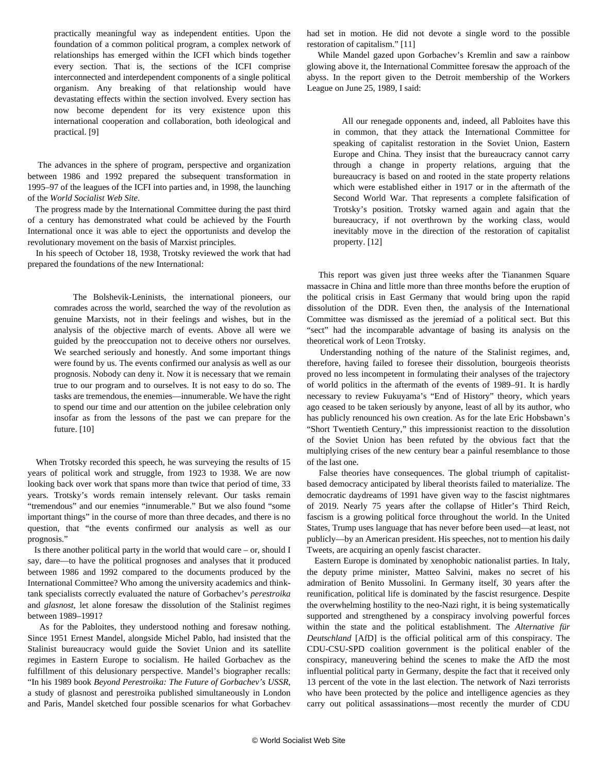practically meaningful way as independent entities. Upon the foundation of a common political program, a complex network of relationships has emerged within the ICFI which binds together every section. That is, the sections of the ICFI comprise interconnected and interdependent components of a single political organism. Any breaking of that relationship would have devastating effects within the section involved. Every section has now become dependent for its very existence upon this international cooperation and collaboration, both ideological and practical. [9]

 The advances in the sphere of program, perspective and organization between 1986 and 1992 prepared the subsequent transformation in 1995–97 of the leagues of the ICFI into parties and, in 1998, the launching of the *World Socialist Web Site*.

 The progress made by the International Committee during the past third of a century has demonstrated what could be achieved by the Fourth International once it was able to eject the opportunists and develop the revolutionary movement on the basis of Marxist principles.

 In his speech of October 18, 1938, Trotsky reviewed the work that had prepared the foundations of the new International:

 The Bolshevik-Leninists, the international pioneers, our comrades across the world, searched the way of the revolution as genuine Marxists, not in their feelings and wishes, but in the analysis of the objective march of events. Above all were we guided by the preoccupation not to deceive others nor ourselves. We searched seriously and honestly. And some important things were found by us. The events confirmed our analysis as well as our prognosis. Nobody can deny it. Now it is necessary that we remain true to our program and to ourselves. It is not easy to do so. The tasks are tremendous, the enemies—innumerable. We have the right to spend our time and our attention on the jubilee celebration only insofar as from the lessons of the past we can prepare for the future. [10]

 When Trotsky recorded this speech, he was surveying the results of 15 years of political work and struggle, from 1923 to 1938. We are now looking back over work that spans more than twice that period of time, 33 years. Trotsky's words remain intensely relevant. Our tasks remain "tremendous" and our enemies "innumerable." But we also found "some important things" in the course of more than three decades, and there is no question, that "the events confirmed our analysis as well as our prognosis."

 Is there another political party in the world that would care – or, should I say, dare—to have the political prognoses and analyses that it produced between 1986 and 1992 compared to the documents produced by the International Committee? Who among the university academics and thinktank specialists correctly evaluated the nature of Gorbachev's *perestroika* and *glasnost*, let alone foresaw the dissolution of the Stalinist regimes between 1989–1991?

 As for the Pabloites, they understood nothing and foresaw nothing. Since 1951 Ernest Mandel, alongside Michel Pablo, had insisted that the Stalinist bureaucracy would guide the Soviet Union and its satellite regimes in Eastern Europe to socialism. He hailed Gorbachev as the fulfillment of this delusionary perspective. Mandel's biographer recalls: "In his 1989 book *Beyond Perestroika: The Future of Gorbachev's USSR*, a study of glasnost and perestroika published simultaneously in London and Paris, Mandel sketched four possible scenarios for what Gorbachev

had set in motion. He did not devote a single word to the possible restoration of capitalism." [11]

 While Mandel gazed upon Gorbachev's Kremlin and saw a rainbow glowing above it, the International Committee foresaw the approach of the abyss. In the report given to the Detroit membership of the Workers League on June 25, 1989, I said:

 All our renegade opponents and, indeed, all Pabloites have this in common, that they attack the International Committee for speaking of capitalist restoration in the Soviet Union, Eastern Europe and China. They insist that the bureaucracy cannot carry through a change in property relations, arguing that the bureaucracy is based on and rooted in the state property relations which were established either in 1917 or in the aftermath of the Second World War. That represents a complete falsification of Trotsky's position. Trotsky warned again and again that the bureaucracy, if not overthrown by the working class, would inevitably move in the direction of the restoration of capitalist property. [12]

 This report was given just three weeks after the Tiananmen Square massacre in China and little more than three months before the eruption of the political crisis in East Germany that would bring upon the rapid dissolution of the DDR. Even then, the analysis of the International Committee was dismissed as the jeremiad of a political sect. But this "sect" had the incomparable advantage of basing its analysis on the theoretical work of Leon Trotsky.

 Understanding nothing of the nature of the Stalinist regimes, and, therefore, having failed to foresee their dissolution, bourgeois theorists proved no less incompetent in formulating their analyses of the trajectory of world politics in the aftermath of the events of 1989–91. It is hardly necessary to review Fukuyama's "End of History" theory, which years ago ceased to be taken seriously by anyone, least of all by its author, who has publicly renounced his own creation. As for the late Eric Hobsbawn's "Short Twentieth Century," this impressionist reaction to the dissolution of the Soviet Union has been refuted by the obvious fact that the multiplying crises of the new century bear a painful resemblance to those of the last one.

 False theories have consequences. The global triumph of capitalistbased democracy anticipated by liberal theorists failed to materialize. The democratic daydreams of 1991 have given way to the fascist nightmares of 2019. Nearly 75 years after the collapse of Hitler's Third Reich, fascism is a growing political force throughout the world. In the United States, Trump uses language that has never before been used—at least, not publicly—by an American president. His speeches, not to mention his daily Tweets, are acquiring an openly fascist character.

 Eastern Europe is dominated by xenophobic nationalist parties. In Italy, the deputy prime minister, Matteo Salvini, makes no secret of his admiration of Benito Mussolini. In Germany itself, 30 years after the reunification, political life is dominated by the fascist resurgence. Despite the overwhelming hostility to the neo-Nazi right, it is being systematically supported and strengthened by a conspiracy involving powerful forces within the state and the political establishment. The *Alternative für Deutschland* [AfD] is the official political arm of this conspiracy. The CDU-CSU-SPD coalition government is the political enabler of the conspiracy, maneuvering behind the scenes to make the AfD the most influential political party in Germany, despite the fact that it received only 13 percent of the vote in the last election. The network of Nazi terrorists who have been protected by the police and intelligence agencies as they carry out political assassinations—most recently the murder of CDU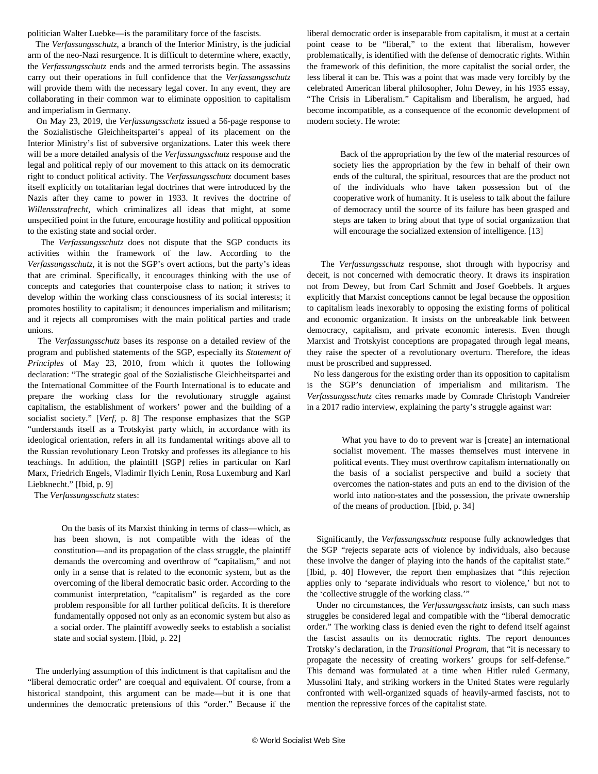politician Walter Luebke—is the paramilitary force of the fascists.

 The *Verfassungsschutz*, a branch of the Interior Ministry, is the judicial arm of the neo-Nazi resurgence. It is difficult to determine where, exactly, the *Verfassungsschutz* ends and the armed terrorists begin. The assassins carry out their operations in full confidence that the *Verfassungsschutz* will provide them with the necessary legal cover. In any event, they are collaborating in their common war to eliminate opposition to capitalism and imperialism in Germany.

 On May 23, 2019, the *Verfassungsschutz* issued a 56-page response to the Sozialistische Gleichheitspartei's appeal of its placement on the Interior Ministry's list of subversive organizations. Later this week there will be a more detailed analysis of the *Verfassungsschutz* response and the legal and political reply of our movement to this attack on its democratic right to conduct political activity. The *Verfassungsschutz* document bases itself explicitly on totalitarian legal doctrines that were introduced by the Nazis after they came to power in 1933. It revives the doctrine of *Willensstrafrecht*, which criminalizes all ideas that might, at some unspecified point in the future, encourage hostility and political opposition to the existing state and social order.

 The *Verfassungsschutz* does not dispute that the SGP conducts its activities within the framework of the law. According to the *Verfassungsschutz,* it is not the SGP's overt actions, but the party's ideas that are criminal. Specifically, it encourages thinking with the use of concepts and categories that counterpoise class to nation; it strives to develop within the working class consciousness of its social interests; it promotes hostility to capitalism; it denounces imperialism and militarism; and it rejects all compromises with the main political parties and trade unions.

 The *Verfassungsschutz* bases its response on a detailed review of the program and published statements of the SGP, especially its *Statement of Principles* of May 23, 2010, from which it quotes the following declaration: "The strategic goal of the Sozialistische Gleichheitspartei and the International Committee of the Fourth International is to educate and prepare the working class for the revolutionary struggle against capitalism, the establishment of workers' power and the building of a socialist society." [*Verf,* p. 8] The response emphasizes that the SGP "understands itself as a Trotskyist party which, in accordance with its ideological orientation, refers in all its fundamental writings above all to the Russian revolutionary Leon Trotsky and professes its allegiance to his teachings. In addition, the plaintiff [SGP] relies in particular on Karl Marx, Friedrich Engels, Vladimir Ilyich Lenin, Rosa Luxemburg and Karl Liebknecht." [Ibid, p. 9]

The *Verfassungsschutz* states:

 On the basis of its Marxist thinking in terms of class—which, as has been shown, is not compatible with the ideas of the constitution—and its propagation of the class struggle, the plaintiff demands the overcoming and overthrow of "capitalism," and not only in a sense that is related to the economic system, but as the overcoming of the liberal democratic basic order. According to the communist interpretation, "capitalism" is regarded as the core problem responsible for all further political deficits. It is therefore fundamentally opposed not only as an economic system but also as a social order. The plaintiff avowedly seeks to establish a socialist state and social system. [Ibid, p. 22]

 The underlying assumption of this indictment is that capitalism and the "liberal democratic order" are coequal and equivalent. Of course, from a historical standpoint, this argument can be made—but it is one that undermines the democratic pretensions of this "order." Because if the liberal democratic order is inseparable from capitalism, it must at a certain point cease to be "liberal," to the extent that liberalism, however problematically, is identified with the defense of democratic rights. Within the framework of this definition, the more capitalist the social order, the less liberal it can be. This was a point that was made very forcibly by the celebrated American liberal philosopher, John Dewey, in his 1935 essay, "The Crisis in Liberalism." Capitalism and liberalism, he argued, had become incompatible, as a consequence of the economic development of modern society. He wrote:

 Back of the appropriation by the few of the material resources of society lies the appropriation by the few in behalf of their own ends of the cultural, the spiritual, resources that are the product not of the individuals who have taken possession but of the cooperative work of humanity. It is useless to talk about the failure of democracy until the source of its failure has been grasped and steps are taken to bring about that type of social organization that will encourage the socialized extension of intelligence. [13]

 The *Verfassungsschutz* response, shot through with hypocrisy and deceit, is not concerned with democratic theory. It draws its inspiration not from Dewey, but from Carl Schmitt and Josef Goebbels. It argues explicitly that Marxist conceptions cannot be legal because the opposition to capitalism leads inexorably to opposing the existing forms of political and economic organization. It insists on the unbreakable link between democracy, capitalism, and private economic interests. Even though Marxist and Trotskyist conceptions are propagated through legal means, they raise the specter of a revolutionary overturn. Therefore, the ideas must be proscribed and suppressed.

 No less dangerous for the existing order than its opposition to capitalism is the SGP's denunciation of imperialism and militarism. The *Verfassungsschutz* cites remarks made by Comrade Christoph Vandreier in a 2017 radio interview, explaining the party's struggle against war:

 What you have to do to prevent war is [create] an international socialist movement. The masses themselves must intervene in political events. They must overthrow capitalism internationally on the basis of a socialist perspective and build a society that overcomes the nation-states and puts an end to the division of the world into nation-states and the possession, the private ownership of the means of production. [Ibid, p. 34]

 Significantly, the *Verfassungsschutz* response fully acknowledges that the SGP "rejects separate acts of violence by individuals, also because these involve the danger of playing into the hands of the capitalist state." [Ibid, p. 40] However, the report then emphasizes that "this rejection applies only to 'separate individuals who resort to violence,' but not to the 'collective struggle of the working class.'"

 Under no circumstances, the *Verfassungsschutz* insists, can such mass struggles be considered legal and compatible with the "liberal democratic order." The working class is denied even the right to defend itself against the fascist assaults on its democratic rights. The report denounces Trotsky's declaration, in the *Transitional Program*, that "it is necessary to propagate the necessity of creating workers' groups for self-defense." This demand was formulated at a time when Hitler ruled Germany, Mussolini Italy, and striking workers in the United States were regularly confronted with well-organized squads of heavily-armed fascists, not to mention the repressive forces of the capitalist state.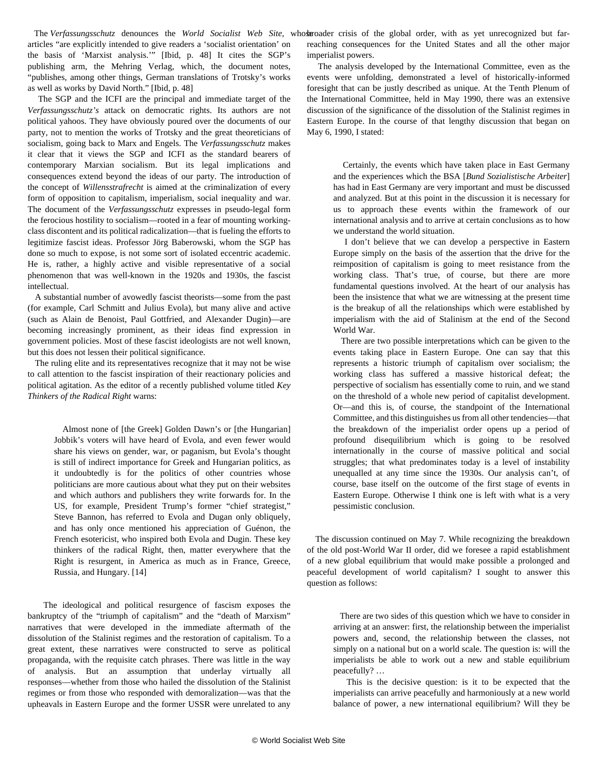The Verfassungsschutz denounces the World Socialist Web Site, whose roader crisis of the global order, with as yet unrecognized but fararticles "are explicitly intended to give readers a 'socialist orientation' on the basis of 'Marxist analysis.'" [Ibid, p. 48] It cites the SGP's publishing arm, the Mehring Verlag, which, the document notes, "publishes, among other things, German translations of Trotsky's works as well as works by David North." [Ibid, p. 48]

 The SGP and the ICFI are the principal and immediate target of the *Verfassungsschutz's* attack on democratic rights. Its authors are not political yahoos. They have obviously poured over the documents of our party, not to mention the works of Trotsky and the great theoreticians of socialism, going back to Marx and Engels. The *Verfassungsschutz* makes it clear that it views the SGP and ICFI as the standard bearers of contemporary Marxian socialism. But its legal implications and consequences extend beyond the ideas of our party. The introduction of the concept of *Willensstrafrecht* is aimed at the criminalization of every form of opposition to capitalism, imperialism, social inequality and war. The document of the *Verfassungsschutz* expresses in pseudo-legal form the ferocious hostility to socialism—rooted in a fear of mounting workingclass discontent and its political radicalization—that is fueling the efforts to legitimize fascist ideas. Professor Jörg Baberowski, whom the SGP has done so much to expose, is not some sort of isolated eccentric academic. He is, rather, a highly active and visible representative of a social phenomenon that was well-known in the 1920s and 1930s, the fascist intellectual.

 A substantial number of avowedly fascist theorists—some from the past (for example, Carl Schmitt and Julius Evola), but many alive and active (such as Alain de Benoist, Paul Gottfried, and Alexander Dugin)—are becoming increasingly prominent, as their ideas find expression in government policies. Most of these fascist ideologists are not well known, but this does not lessen their political significance.

 The ruling elite and its representatives recognize that it may not be wise to call attention to the fascist inspiration of their reactionary policies and political agitation. As the editor of a recently published volume titled *Key Thinkers of the Radical Right* warns:

 Almost none of [the Greek] Golden Dawn's or [the Hungarian] Jobbik's voters will have heard of Evola, and even fewer would share his views on gender, war, or paganism, but Evola's thought is still of indirect importance for Greek and Hungarian politics, as it undoubtedly is for the politics of other countries whose politicians are more cautious about what they put on their websites and which authors and publishers they write forwards for. In the US, for example, President Trump's former "chief strategist," Steve Bannon, has referred to Evola and Dugan only obliquely, and has only once mentioned his appreciation of Guénon, the French esotericist, who inspired both Evola and Dugin. These key thinkers of the radical Right, then, matter everywhere that the Right is resurgent, in America as much as in France, Greece, Russia, and Hungary. [14]

 The ideological and political resurgence of fascism exposes the bankruptcy of the "triumph of capitalism" and the "death of Marxism" narratives that were developed in the immediate aftermath of the dissolution of the Stalinist regimes and the restoration of capitalism. To a great extent, these narratives were constructed to serve as political propaganda, with the requisite catch phrases. There was little in the way of analysis. But an assumption that underlay virtually all responses—whether from those who hailed the dissolution of the Stalinist regimes or from those who responded with demoralization—was that the upheavals in Eastern Europe and the former USSR were unrelated to any

reaching consequences for the United States and all the other major imperialist powers.

 The analysis developed by the International Committee, even as the events were unfolding, demonstrated a level of historically-informed foresight that can be justly described as unique. At the Tenth Plenum of the International Committee, held in May 1990, there was an extensive discussion of the significance of the dissolution of the Stalinist regimes in Eastern Europe. In the course of that lengthy discussion that began on May 6, 1990, I stated:

 Certainly, the events which have taken place in East Germany and the experiences which the BSA [*Bund Sozialistische Arbeiter*] has had in East Germany are very important and must be discussed and analyzed. But at this point in the discussion it is necessary for us to approach these events within the framework of our international analysis and to arrive at certain conclusions as to how we understand the world situation.

 I don't believe that we can develop a perspective in Eastern Europe simply on the basis of the assertion that the drive for the reimposition of capitalism is going to meet resistance from the working class. That's true, of course, but there are more fundamental questions involved. At the heart of our analysis has been the insistence that what we are witnessing at the present time is the breakup of all the relationships which were established by imperialism with the aid of Stalinism at the end of the Second World War.

 There are two possible interpretations which can be given to the events taking place in Eastern Europe. One can say that this represents a historic triumph of capitalism over socialism; the working class has suffered a massive historical defeat; the perspective of socialism has essentially come to ruin, and we stand on the threshold of a whole new period of capitalist development. Or—and this is, of course, the standpoint of the International Committee, and this distinguishes us from all other tendencies—that the breakdown of the imperialist order opens up a period of profound disequilibrium which is going to be resolved internationally in the course of massive political and social struggles; that what predominates today is a level of instability unequalled at any time since the 1930s. Our analysis can't, of course, base itself on the outcome of the first stage of events in Eastern Europe. Otherwise I think one is left with what is a very pessimistic conclusion.

 The discussion continued on May 7. While recognizing the breakdown of the old post-World War II order, did we foresee a rapid establishment of a new global equilibrium that would make possible a prolonged and peaceful development of world capitalism? I sought to answer this question as follows:

 There are two sides of this question which we have to consider in arriving at an answer: first, the relationship between the imperialist powers and, second, the relationship between the classes, not simply on a national but on a world scale. The question is: will the imperialists be able to work out a new and stable equilibrium peacefully? …

 This is the decisive question: is it to be expected that the imperialists can arrive peacefully and harmoniously at a new world balance of power, a new international equilibrium? Will they be